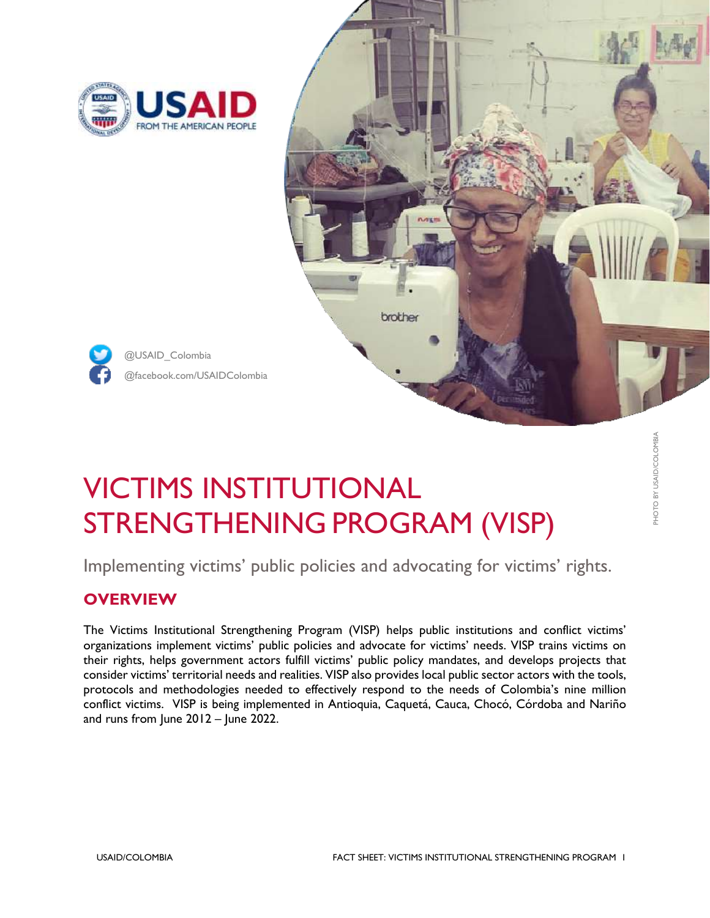

@USAID\_Colombia



# VICTIMS INSTITUTIONAL STRENGTHENING PROGRAM (VISP)

Implementing victims' public policies and advocating for victims' rights.

## **OVERVIEW**

The Victims Institutional Strengthening Program (VISP) helps public institutions and conflict victims' organizations implement victims' public policies and advocate for victims' needs. VISP trains victims on their rights, helps government actors fulfill victims' public policy mandates, and develops projects that consider victims' territorial needs and realities. VISP also provides local public sector actors with the tools, protocols and methodologies needed to effectively respond to the needs of Colombia's nine million conflict victims. VISP is being implemented in Antioquia, Caquetá, Cauca, Chocó, Córdoba and Nariño and runs from June 2012 – June 2022.